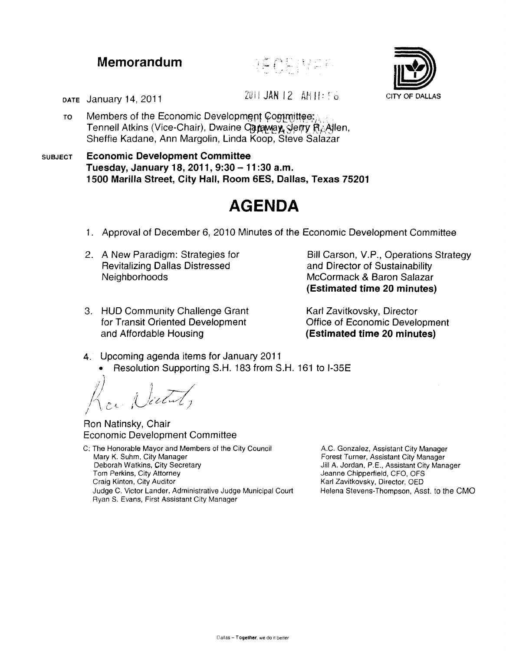## **Memorandum**





DATE January 14, 2011  $2011$   $2011$  JAN 12 AM II:  $F_{\Theta}$  City of Dallas

- To Members of the Economic Development Committeer. Tennell Atkins (Vice-Chair), Dwaine Careway, Jerry R<sub>A</sub>Alen, Sheffie Kadane, Ann Margolin, Linda Koop, Steve Salazar
- SUBJECT Economic Development Committee Tuesday, January 18, 2011,  $9:30 - 11:30$  a.m. 1500 Marilla Street, City Hall, Room 6ES, Dallas, Texas 75201

## **AGENDA**

- 1. Approval of December 6, 2010 Minutes of the Economic Development Committee
- 2. A New Paradigm: Strategies for Revitalizing Dallas Distressed **Neighborhoods**
- 3. HUD Community Challenge Grant for Transit Oriented Development and Affordable Housing

Bill Carson, V.P., Operations Strategy and Director of Sustainability McCormack & Baron Salazar (Estimated time 20 minutes)

Karl Zavitkovsky, Director Office of Economic Development (Estimated time 20 minutes)

4. Upcoming agenda items for January 2011 • Resolution Supporting S.H. 183 from S.H. 161 to 1-35E

Ron Natinsky, Chair Economic Development Committee

C: The Honorable Mayor and Members of the City Council Mary K. Suhm, City Manager Deborah Watkins, City Secretary Tom Perkins, City Attorney Craig Kinton, City Auditor Judge C. Victor Lander, Administrative Judge Municipal Court Ryan S. Evans, First Assistant City Manager

A.C. Gonzalez, Assistant City Manager Forest Turner, Assistant City Manager Jill A. Jordan, P.E., Assistant City Manager Jeanne Chipperfield, CFO, OFS Karl Zavitkovsky, Director, OED Helena Stevens-Thompson, Asst. to the CMO